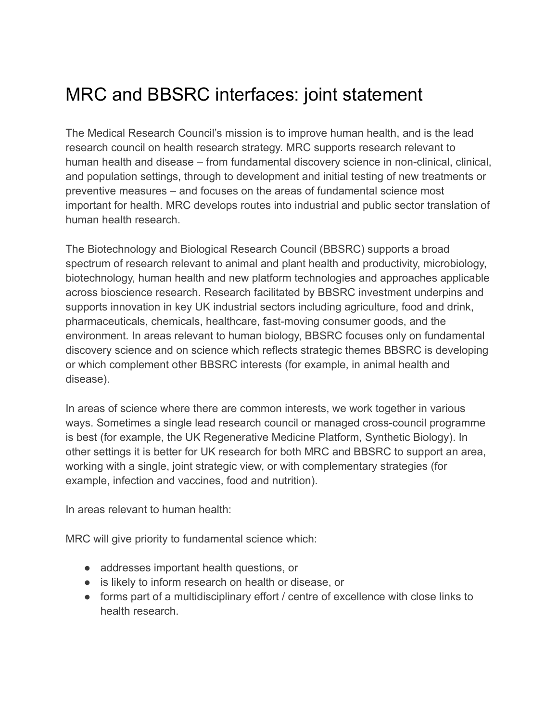## MRC and BBSRC interfaces: joint statement

The Medical Research Council's mission is to improve human health, and is the lead research council on health research strategy. MRC supports research relevant to human health and disease – from fundamental discovery science in non-clinical, clinical, and population settings, through to development and initial testing of new treatments or preventive measures – and focuses on the areas of fundamental science most important for health. MRC develops routes into industrial and public sector translation of human health research.

The Biotechnology and Biological Research Council (BBSRC) supports a broad spectrum of research relevant to animal and plant health and productivity, microbiology, biotechnology, human health and new platform technologies and approaches applicable across bioscience research. Research facilitated by BBSRC investment underpins and supports innovation in key UK industrial sectors including agriculture, food and drink, pharmaceuticals, chemicals, healthcare, fast-moving consumer goods, and the environment. In areas relevant to human biology, BBSRC focuses only on fundamental discovery science and on science which reflects strategic themes BBSRC is developing or which complement other BBSRC interests (for example, in animal health and disease).

In areas of science where there are common interests, we work together in various ways. Sometimes a single lead research council or managed cross-council programme is best (for example, the UK Regenerative Medicine Platform, Synthetic Biology). In other settings it is better for UK research for both MRC and BBSRC to support an area, working with a single, joint strategic view, or with complementary strategies (for example, infection and vaccines, food and nutrition).

In areas relevant to human health:

MRC will give priority to fundamental science which:

- addresses important health questions, or
- is likely to inform research on health or disease, or
- forms part of a multidisciplinary effort / centre of excellence with close links to health research.